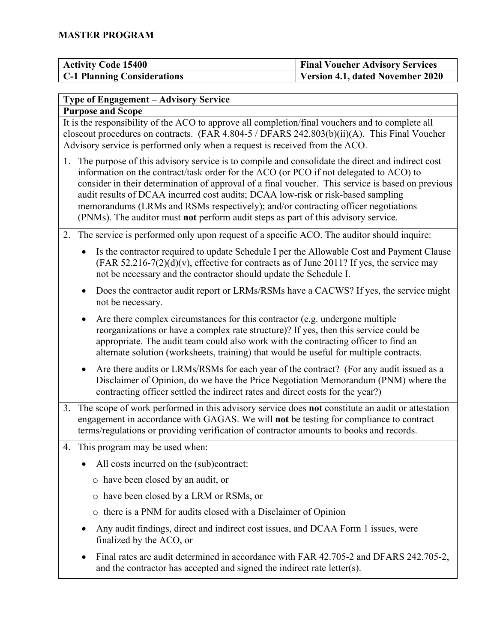| <b>Activity Code 15400</b>         | <b>Final Voucher Advisory Services</b> |
|------------------------------------|----------------------------------------|
| <b>C-1 Planning Considerations</b> | Version 4.1, dated November 2020       |

### **Type of Engagement – Advisory Service**

#### **Purpose and Scope**

It is the responsibility of the ACO to approve all completion/final vouchers and to complete all closeout procedures on contracts. (FAR 4.804-5 / DFARS 242.803(b)(ii)(A). This Final Voucher Advisory service is performed only when a request is received from the ACO.

- 1. The purpose of this advisory service is to compile and consolidate the direct and indirect cost information on the contract/task order for the ACO (or PCO if not delegated to ACO) to consider in their determination of approval of a final voucher. This service is based on previous audit results of DCAA incurred cost audits; DCAA low-risk or risk-based sampling memorandums (LRMs and RSMs respectively); and/or contracting officer negotiations (PNMs). The auditor must **not** perform audit steps as part of this advisory service.
- 2. The service is performed only upon request of a specific ACO. The auditor should inquire:
	- Is the contractor required to update Schedule I per the Allowable Cost and Payment Clause  $(FAR 52.216-7(2)(d)(v)$ , effective for contracts as of June 2011? If yes, the service may not be necessary and the contractor should update the Schedule I.
	- Does the contractor audit report or LRMs/RSMs have a CACWS? If yes, the service might not be necessary.
	- Are there complex circumstances for this contractor (e.g. undergone multiple reorganizations or have a complex rate structure)? If yes, then this service could be appropriate. The audit team could also work with the contracting officer to find an alternate solution (worksheets, training) that would be useful for multiple contracts.
	- Are there audits or LRMs/RSMs for each year of the contract? (For any audit issued as a Disclaimer of Opinion, do we have the Price Negotiation Memorandum (PNM) where the contracting officer settled the indirect rates and direct costs for the year?)
- 3. The scope of work performed in this advisory service does **not** constitute an audit or attestation engagement in accordance with GAGAS. We will **not** be testing for compliance to contract terms/regulations or providing verification of contractor amounts to books and records.
- 4. This program may be used when:
	- All costs incurred on the (sub)contract:
		- o have been closed by an audit, or
		- o have been closed by a LRM or RSMs, or
		- o there is a PNM for audits closed with a Disclaimer of Opinion
	- Any audit findings, direct and indirect cost issues, and DCAA Form 1 issues, were finalized by the ACO, or
	- Final rates are audit determined in accordance with FAR 42.705-2 and DFARS 242.705-2, and the contractor has accepted and signed the indirect rate letter(s).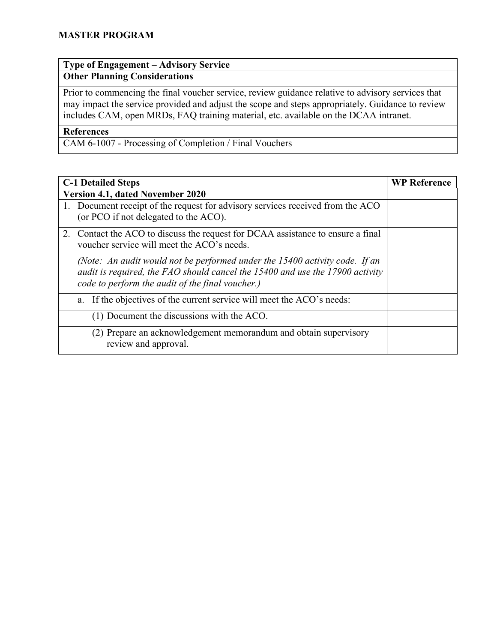# **Type of Engagement – Advisory Service**

# **Other Planning Considerations**

Prior to commencing the final voucher service, review guidance relative to advisory services that may impact the service provided and adjust the scope and steps appropriately. Guidance to review includes CAM, open MRDs, FAQ training material, etc. available on the DCAA intranet.

#### **References**

CAM 6-1007 - Processing of Completion / Final Vouchers

| <b>C-1 Detailed Steps</b>                                                                                                                                                                                        | <b>WP Reference</b> |
|------------------------------------------------------------------------------------------------------------------------------------------------------------------------------------------------------------------|---------------------|
| <b>Version 4.1, dated November 2020</b>                                                                                                                                                                          |                     |
| 1. Document receipt of the request for advisory services received from the ACO<br>(or PCO if not delegated to the ACO).                                                                                          |                     |
| 2. Contact the ACO to discuss the request for DCAA assistance to ensure a final<br>voucher service will meet the ACO's needs.                                                                                    |                     |
| (Note: An audit would not be performed under the 15400 activity code. If an<br>audit is required, the FAO should cancel the 15400 and use the 17900 activity<br>code to perform the audit of the final voucher.) |                     |
| If the objectives of the current service will meet the ACO's needs:<br>a.                                                                                                                                        |                     |
| (1) Document the discussions with the ACO.                                                                                                                                                                       |                     |
| (2) Prepare an acknowledgement memorandum and obtain supervisory<br>review and approval.                                                                                                                         |                     |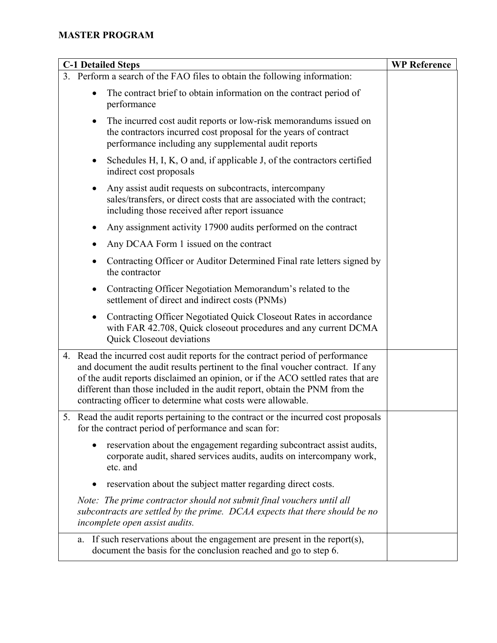## **MASTER PROGRAM**

| <b>C-1 Detailed Steps</b>                                                                                                                                                                                                                                                                                                                                                                         | <b>WP Reference</b> |
|---------------------------------------------------------------------------------------------------------------------------------------------------------------------------------------------------------------------------------------------------------------------------------------------------------------------------------------------------------------------------------------------------|---------------------|
| 3. Perform a search of the FAO files to obtain the following information:                                                                                                                                                                                                                                                                                                                         |                     |
| The contract brief to obtain information on the contract period of<br>$\bullet$<br>performance                                                                                                                                                                                                                                                                                                    |                     |
| The incurred cost audit reports or low-risk memorandums issued on<br>$\bullet$<br>the contractors incurred cost proposal for the years of contract<br>performance including any supplemental audit reports                                                                                                                                                                                        |                     |
| Schedules H, I, K, O and, if applicable J, of the contractors certified<br>$\bullet$<br>indirect cost proposals                                                                                                                                                                                                                                                                                   |                     |
| Any assist audit requests on subcontracts, intercompany<br>$\bullet$<br>sales/transfers, or direct costs that are associated with the contract;<br>including those received after report issuance                                                                                                                                                                                                 |                     |
| Any assignment activity 17900 audits performed on the contract<br>$\bullet$                                                                                                                                                                                                                                                                                                                       |                     |
| Any DCAA Form 1 issued on the contract<br>$\bullet$                                                                                                                                                                                                                                                                                                                                               |                     |
| Contracting Officer or Auditor Determined Final rate letters signed by<br>$\bullet$<br>the contractor                                                                                                                                                                                                                                                                                             |                     |
| Contracting Officer Negotiation Memorandum's related to the<br>$\bullet$<br>settlement of direct and indirect costs (PNMs)                                                                                                                                                                                                                                                                        |                     |
| Contracting Officer Negotiated Quick Closeout Rates in accordance<br>$\bullet$<br>with FAR 42.708, Quick closeout procedures and any current DCMA<br>Quick Closeout deviations                                                                                                                                                                                                                    |                     |
| 4. Read the incurred cost audit reports for the contract period of performance<br>and document the audit results pertinent to the final voucher contract. If any<br>of the audit reports disclaimed an opinion, or if the ACO settled rates that are<br>different than those included in the audit report, obtain the PNM from the<br>contracting officer to determine what costs were allowable. |                     |
| 5. Read the audit reports pertaining to the contract or the incurred cost proposals<br>for the contract period of performance and scan for:                                                                                                                                                                                                                                                       |                     |
| reservation about the engagement regarding subcontract assist audits,<br>corporate audit, shared services audits, audits on intercompany work,<br>etc. and                                                                                                                                                                                                                                        |                     |
| reservation about the subject matter regarding direct costs.                                                                                                                                                                                                                                                                                                                                      |                     |
| Note: The prime contractor should not submit final vouchers until all<br>subcontracts are settled by the prime. DCAA expects that there should be no<br>incomplete open assist audits.                                                                                                                                                                                                            |                     |
| If such reservations about the engagement are present in the report $(s)$ ,<br>a.<br>document the basis for the conclusion reached and go to step 6.                                                                                                                                                                                                                                              |                     |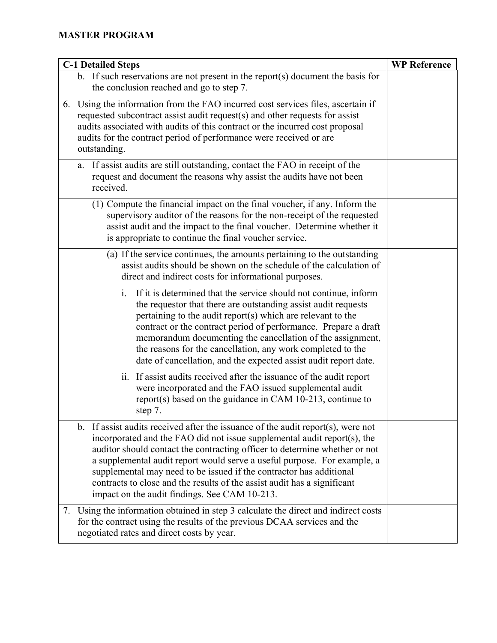| <b>C-1 Detailed Steps</b>                                                                                                                                                                                                                                                                                                                                                                                                                                                                                                      | <b>WP Reference</b> |
|--------------------------------------------------------------------------------------------------------------------------------------------------------------------------------------------------------------------------------------------------------------------------------------------------------------------------------------------------------------------------------------------------------------------------------------------------------------------------------------------------------------------------------|---------------------|
| b. If such reservations are not present in the report(s) document the basis for<br>the conclusion reached and go to step 7.                                                                                                                                                                                                                                                                                                                                                                                                    |                     |
| 6. Using the information from the FAO incurred cost services files, ascertain if<br>requested subcontract assist audit request(s) and other requests for assist<br>audits associated with audits of this contract or the incurred cost proposal<br>audits for the contract period of performance were received or are<br>outstanding.                                                                                                                                                                                          |                     |
| a. If assist audits are still outstanding, contact the FAO in receipt of the<br>request and document the reasons why assist the audits have not been<br>received.                                                                                                                                                                                                                                                                                                                                                              |                     |
| (1) Compute the financial impact on the final voucher, if any. Inform the<br>supervisory auditor of the reasons for the non-receipt of the requested<br>assist audit and the impact to the final voucher. Determine whether it<br>is appropriate to continue the final voucher service.                                                                                                                                                                                                                                        |                     |
| (a) If the service continues, the amounts pertaining to the outstanding<br>assist audits should be shown on the schedule of the calculation of<br>direct and indirect costs for informational purposes.                                                                                                                                                                                                                                                                                                                        |                     |
| $i$ .<br>If it is determined that the service should not continue, inform<br>the requestor that there are outstanding assist audit requests<br>pertaining to the audit report(s) which are relevant to the<br>contract or the contract period of performance. Prepare a draft<br>memorandum documenting the cancellation of the assignment,<br>the reasons for the cancellation, any work completed to the<br>date of cancellation, and the expected assist audit report date.                                                 |                     |
| ii. If assist audits received after the issuance of the audit report<br>were incorporated and the FAO issued supplemental audit<br>report(s) based on the guidance in CAM 10-213, continue to<br>step 7.                                                                                                                                                                                                                                                                                                                       |                     |
| b. If assist audits received after the issuance of the audit report $(s)$ , were not<br>incorporated and the FAO did not issue supplemental audit report(s), the<br>auditor should contact the contracting officer to determine whether or not<br>a supplemental audit report would serve a useful purpose. For example, a<br>supplemental may need to be issued if the contractor has additional<br>contracts to close and the results of the assist audit has a significant<br>impact on the audit findings. See CAM 10-213. |                     |
| 7. Using the information obtained in step 3 calculate the direct and indirect costs<br>for the contract using the results of the previous DCAA services and the<br>negotiated rates and direct costs by year.                                                                                                                                                                                                                                                                                                                  |                     |